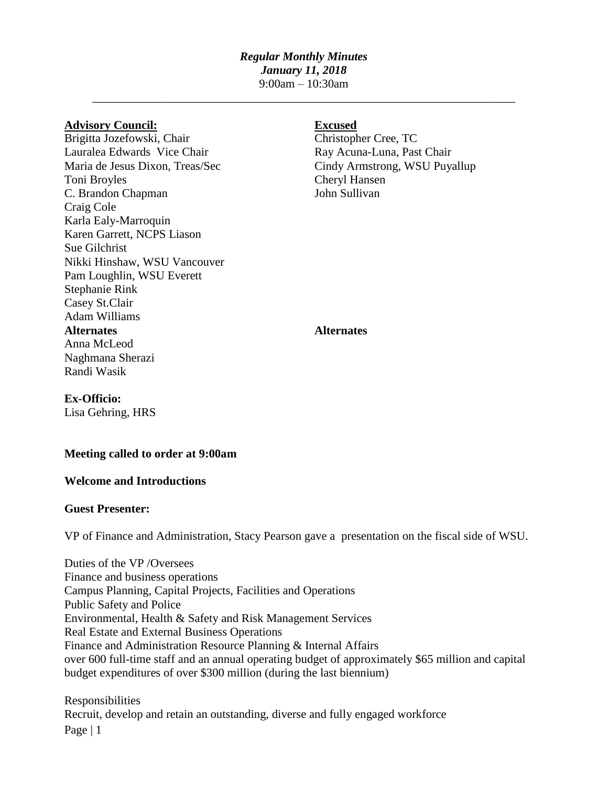## *Regular Monthly Minutes January 11, 2018*

9:00am – 10:30am \_\_\_\_\_\_\_\_\_\_\_\_\_\_\_\_\_\_\_\_\_\_\_\_\_\_\_\_\_\_\_\_\_\_\_\_\_\_\_\_\_\_\_\_\_\_\_\_\_\_\_\_\_\_\_\_\_\_\_\_\_\_\_\_\_\_\_\_\_\_\_

## **Advisory Council: Excused**

Brigitta Jozefowski, Chair Christopher Cree, TC Lauralea Edwards Vice Chair **Ray Acuna-Luna, Past Chair** Ray Acuna-Luna, Past Chair Maria de Jesus Dixon, Treas/Sec Cindy Armstrong, WSU Puyallup Toni Broyles Cheryl Hansen C. Brandon Chapman John Sullivan Craig Cole Karla Ealy-Marroquin Karen Garrett, NCPS Liason Sue Gilchrist Nikki Hinshaw, WSU Vancouver Pam Loughlin, WSU Everett Stephanie Rink Casey St.Clair Adam Williams **Alternates Alternates** Anna McLeod Naghmana Sherazi Randi Wasik

## **Ex-Officio:**

Lisa Gehring, HRS

# **Meeting called to order at 9:00am**

## **Welcome and Introductions**

## **Guest Presenter:**

VP of Finance and Administration, Stacy Pearson gave a presentation on the fiscal side of WSU.

Duties of the VP /Oversees Finance and business operations Campus Planning, Capital Projects, Facilities and Operations Public Safety and Police Environmental, Health & Safety and Risk Management Services Real Estate and External Business Operations Finance and Administration Resource Planning & Internal Affairs over 600 full-time staff and an annual operating budget of approximately \$65 million and capital budget expenditures of over \$300 million (during the last biennium)

Page  $|1$ Responsibilities Recruit, develop and retain an outstanding, diverse and fully engaged workforce